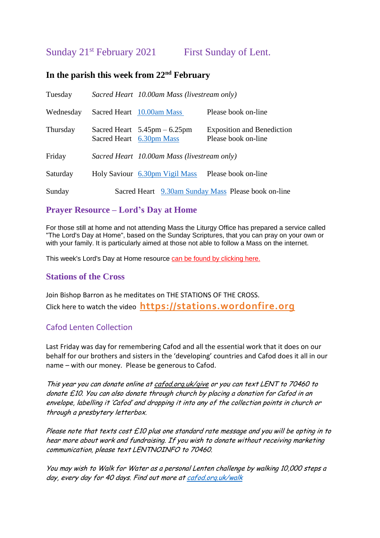Sunday 21<sup>st</sup> February 2021 First Sunday of Lent.

## **In the parish this week from 22nd February**

| Tuesday   | Sacred Heart 10.00am Mass (livestream only)                                |                                                          |
|-----------|----------------------------------------------------------------------------|----------------------------------------------------------|
| Wednesday | Sacred Heart 10.00am Mass                                                  | Please book on-line                                      |
| Thursday  | Sacred Heart $5.45 \text{pm} - 6.25 \text{pm}$<br>Sacred Heart 6.30pm Mass | <b>Exposition and Benediction</b><br>Please book on-line |
| Friday    | Sacred Heart 10.00am Mass (livestream only)                                |                                                          |
| Saturday  | Holy Saviour 6.30pm Vigil Mass                                             | Please book on-line                                      |
| Sunday    |                                                                            | Sacred Heart 9.30am Sunday Mass Please book on-line      |

# **Prayer Resource – Lord's Day at Home**

For those still at home and not attending Mass the Liturgy Office has prepared a service called "The Lord's Day at Home", based on the Sunday Scriptures, that you can pray on your own or with your family. It is particularly aimed at those not able to follow a Mass on the internet.

This week's Lord's Day at Home resource [can be found by clicking here.](https://gbr01.safelinks.protection.outlook.com/?url=https%3A%2F%2Fdioceseofsalford.us6.list-manage.com%2Ftrack%2Fclick%3Fu%3D76e219dab8653b775ba8aac4c%26id%3D5ffd426c11%26e%3D5ce69633f0&data=04%7C01%7Cpeter.wilkinson%40dioceseofsalford.org.uk%7C2b4ec307de4e4ccc882e08d8d3242c4d%7C699a61ae142a45a090c604b2f08de19b%7C0%7C0%7C637491501264263930%7CUnknown%7CTWFpbGZsb3d8eyJWIjoiMC4wLjAwMDAiLCJQIjoiV2luMzIiLCJBTiI6Ik1haWwiLCJXVCI6Mn0%3D%7C1000&sdata=WRWHuh9mNJnt3DGJYY82ea%2B5eVLRYKpIbD4mhpReW1U%3D&reserved=0)

## **Stations of the Cross**

Join Bishop Barron as he meditates on THE STATIONS OF THE CROSS. Click here to watch the video **[https://stations.wordonfire.org](https://gbr01.safelinks.protection.outlook.com/?url=https%3A%2F%2Fac.wordonfire.org%2FProd%2Flink-tracker%3FredirectUrl%3DaHR0cHMlM0ElMkYlMkZzdGF0aW9ucy53b3Jkb25maXJlLm9yZyUyRnN0YXRpb25zLW9mLXRoZS1jcm9zcw%3D%3D%26a%3D999795128%26account%3Dwordonfire.activehosted.com%26email%3DSKnQEOjcV8X%252BpfwaG33V5iCkNZa5U246xm%252BT1CtqOSoJTpfB4zazdMc0oPxbLUHo%26s%3De0c187ee917d3dd3d7eff5f91d4b9492%26i%3D5785A11627A42A1370058&data=04%7C01%7Cpeter.wilkinson%40dioceseofsalford.org.uk%7C409d7fd43a1a4d06911f08d8d4cf7c8f%7C699a61ae142a45a090c604b2f08de19b%7C0%7C0%7C637493334897466217%7CUnknown%7CTWFpbGZsb3d8eyJWIjoiMC4wLjAwMDAiLCJQIjoiV2luMzIiLCJBTiI6Ik1haWwiLCJXVCI6Mn0%3D%7C1000&sdata=%2FLwHzUaT72fnjCCsOnXCM9mMSJ%2B45Sa38U9baqxX7jM%3D&reserved=0)**

## Cafod Lenten Collection

Last Friday was day for remembering Cafod and all the essential work that it does on our behalf for our brothers and sisters in the 'developing' countries and Cafod does it all in our name – with our money. Please be generous to Cafod.

This year you can donate online at [cafod.org.uk/give](https://gbr01.safelinks.protection.outlook.com/?url=http%3A%2F%2Fcafod.org.uk%2Fgive&data=04%7C01%7Cpeter.wilkinson%40dioceseofsalford.org.uk%7C98861127b75f4fc64f9d08d8cdf72e2e%7C699a61ae142a45a090c604b2f08de19b%7C0%7C0%7C637485808797065480%7CUnknown%7CTWFpbGZsb3d8eyJWIjoiMC4wLjAwMDAiLCJQIjoiV2luMzIiLCJBTiI6Ik1haWwiLCJXVCI6Mn0%3D%7C1000&sdata=wft8p8Mw%2Fbdo%2BhdyjNlLcUkZ0yUfuoVzONbG3adwuB0%3D&reserved=0) or you can text LENT to 70460 to donate £10. You can also donate through church by placing a donation for Cafod in an envelope, labelling it 'Cafod' and dropping it into any of the collection points in church or through a presbytery letterbox.

Please note that texts cost  $E10$  plus one standard rate message and you will be opting in to hear more about work and fundraising. If you wish to donate without receiving marketing communication, please text LENTNOINFO to 70460.

You may wish to Walk for Water as a personal Lenten challenge by walking 10,000 steps a day, every day for 40 days. Find out more at cafod.org.uk/walk